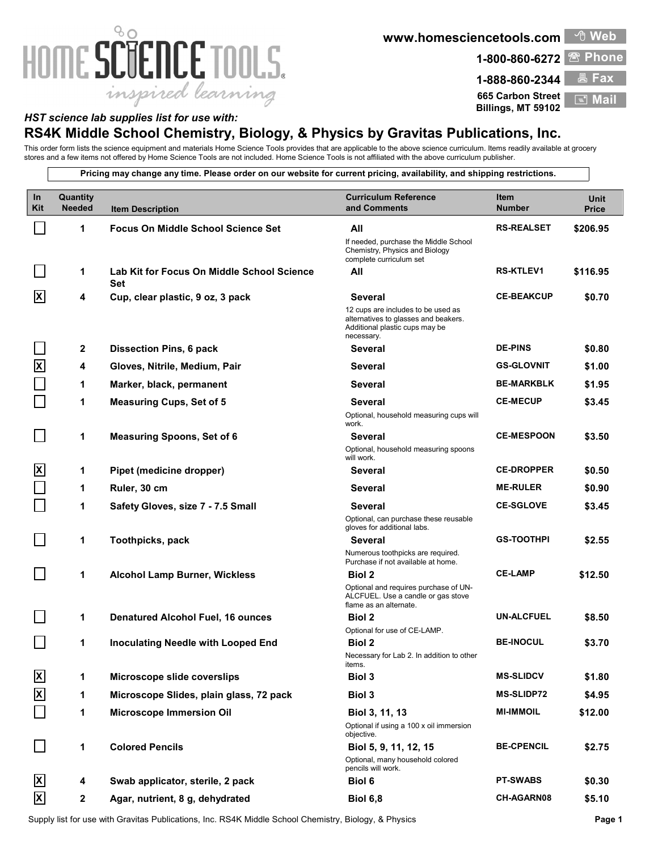## 80 HOME SCIENCE TOOLS. inspired learning

**www.homesciencetools.com**



<sup>①</sup> Web

**665 Carbon Street**

**Billings, MT 59102 Mail** 

## *HST science lab supplies list for use with:*

## **RS4K Middle School Chemistry, Biology, & Physics by Gravitas Publications, Inc.**

This order form lists the science equipment and materials Home Science Tools provides that are applicable to the above science curriculum. Items readily available at grocery stores and a few items not offered by Home Science Tools are not included. Home Science Tools is not affiliated with the above curriculum publisher.

**Pricing may change any time. Please order on our website for current pricing, availability, and shipping restrictions.**

| In<br>Kit                 | <b>Quantity</b><br><b>Needed</b> | <b>Item Description</b>                           | <b>Curriculum Reference</b><br>and Comments                                                                                | Item<br><b>Number</b> | <b>Unit</b><br><b>Price</b> |
|---------------------------|----------------------------------|---------------------------------------------------|----------------------------------------------------------------------------------------------------------------------------|-----------------------|-----------------------------|
|                           | 1                                | <b>Focus On Middle School Science Set</b>         | All                                                                                                                        | <b>RS-REALSET</b>     | \$206.95                    |
|                           |                                  |                                                   | If needed, purchase the Middle School<br>Chemistry, Physics and Biology<br>complete curriculum set                         |                       |                             |
|                           | 1                                | Lab Kit for Focus On Middle School Science<br>Set | All                                                                                                                        | <b>RS-KTLEV1</b>      | \$116.95                    |
| ΙXΙ                       | 4                                | Cup, clear plastic, 9 oz, 3 pack                  | <b>Several</b>                                                                                                             | <b>CE-BEAKCUP</b>     | \$0.70                      |
|                           |                                  |                                                   | 12 cups are includes to be used as<br>alternatives to glasses and beakers.<br>Additional plastic cups may be<br>necessary. |                       |                             |
|                           | 2                                | <b>Dissection Pins, 6 pack</b>                    | <b>Several</b>                                                                                                             | <b>DE-PINS</b>        | \$0.80                      |
| $\boldsymbol{\mathsf{x}}$ | 4                                | Gloves, Nitrile, Medium, Pair                     | <b>Several</b>                                                                                                             | <b>GS-GLOVNIT</b>     | \$1.00                      |
|                           | 1                                | Marker, black, permanent                          | <b>Several</b>                                                                                                             | <b>BE-MARKBLK</b>     | \$1.95                      |
|                           | 1                                | <b>Measuring Cups, Set of 5</b>                   | <b>Several</b>                                                                                                             | <b>CE-MECUP</b>       | \$3.45                      |
|                           |                                  |                                                   | Optional, household measuring cups will<br>work.                                                                           |                       |                             |
|                           | 1                                | <b>Measuring Spoons, Set of 6</b>                 | Several                                                                                                                    | <b>CE-MESPOON</b>     | \$3.50                      |
|                           |                                  |                                                   | Optional, household measuring spoons<br>will work.                                                                         |                       |                             |
| $\vert x \vert$           | 1                                | Pipet (medicine dropper)                          | <b>Several</b>                                                                                                             | <b>CE-DROPPER</b>     | \$0.50                      |
|                           | 1                                | Ruler, 30 cm                                      | <b>Several</b>                                                                                                             | <b>ME-RULER</b>       | \$0.90                      |
|                           | 1                                | Safety Gloves, size 7 - 7.5 Small                 | <b>Several</b>                                                                                                             | <b>CE-SGLOVE</b>      | \$3.45                      |
|                           |                                  |                                                   | Optional, can purchase these reusable<br>gloves for additional labs.                                                       |                       |                             |
|                           | 1                                | Toothpicks, pack                                  | <b>Several</b>                                                                                                             | <b>GS-TOOTHPI</b>     | \$2.55                      |
|                           |                                  |                                                   | Numerous toothpicks are required.<br>Purchase if not available at home.                                                    |                       |                             |
|                           | 1                                | <b>Alcohol Lamp Burner, Wickless</b>              | <b>Biol 2</b>                                                                                                              | <b>CE-LAMP</b>        | \$12.50                     |
|                           |                                  |                                                   | Optional and requires purchase of UN-<br>ALCFUEL. Use a candle or gas stove<br>flame as an alternate.                      |                       |                             |
|                           | 1                                | <b>Denatured Alcohol Fuel, 16 ounces</b>          | <b>Biol 2</b>                                                                                                              | <b>UN-ALCFUEL</b>     | \$8.50                      |
|                           |                                  |                                                   | Optional for use of CE-LAMP.                                                                                               |                       |                             |
|                           | 1                                | Inoculating Needle with Looped End                | <b>Biol 2</b><br>Necessary for Lab 2. In addition to other                                                                 | <b>BE-INOCUL</b>      | \$3.70                      |
|                           |                                  |                                                   | items.                                                                                                                     |                       |                             |
| $\vert x \vert$           | 1                                | <b>Microscope slide coverslips</b>                | <b>Biol 3</b>                                                                                                              | <b>MS-SLIDCV</b>      | \$1.80                      |
| $\mathbf{x}$              | 1                                | Microscope Slides, plain glass, 72 pack           | <b>Biol 3</b>                                                                                                              | <b>MS-SLIDP72</b>     | \$4.95                      |
|                           | 1                                | <b>Microscope Immersion Oil</b>                   | Biol 3, 11, 13                                                                                                             | <b>MI-IMMOIL</b>      | \$12.00                     |
|                           |                                  |                                                   | Optional if using a 100 x oil immersion<br>objective.                                                                      |                       |                             |
|                           | 1                                | <b>Colored Pencils</b>                            | Biol 5, 9, 11, 12, 15                                                                                                      | <b>BE-CPENCIL</b>     | \$2.75                      |
|                           |                                  |                                                   | Optional, many household colored<br>pencils will work.                                                                     |                       |                             |
| $\mathbf{x}$              | 4                                | Swab applicator, sterile, 2 pack                  | <b>Biol 6</b>                                                                                                              | <b>PT-SWABS</b>       | \$0.30                      |
| $\vert x \vert$           | $\mathbf{2}$                     | Agar, nutrient, 8 g, dehydrated                   | <b>Biol 6,8</b>                                                                                                            | CH-AGARN08            | \$5.10                      |

Supply list for use with Gravitas Publications, Inc. RS4K Middle School Chemistry, Biology, & Physics **Page 1**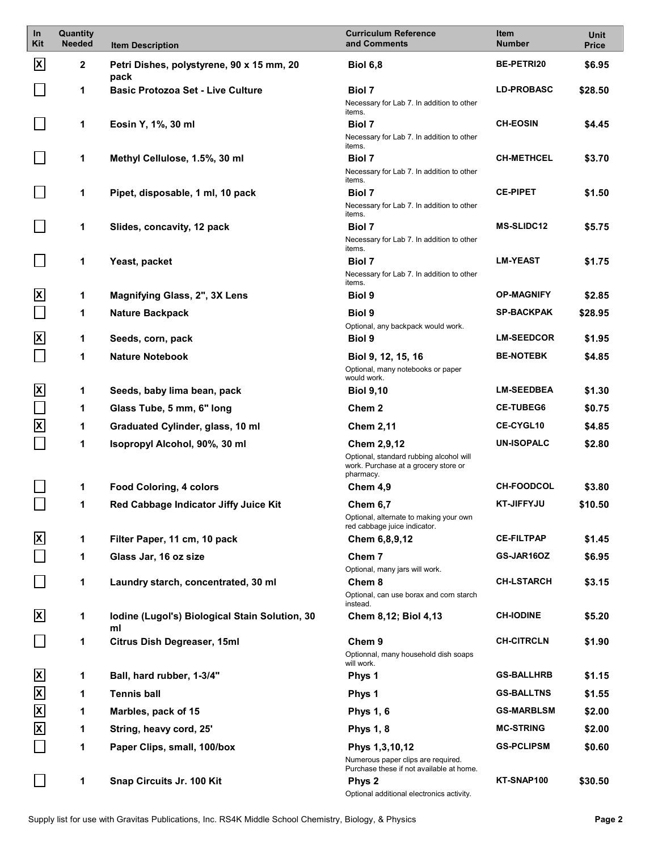| $\ln$<br>Kit            | Quantity<br><b>Needed</b> | <b>Item Description</b>                              | <b>Curriculum Reference</b><br>and Comments                                                  | <b>Item</b><br><b>Number</b> | Unit<br><b>Price</b> |
|-------------------------|---------------------------|------------------------------------------------------|----------------------------------------------------------------------------------------------|------------------------------|----------------------|
| X                       | 2                         | Petri Dishes, polystyrene, 90 x 15 mm, 20<br>pack    | <b>Biol 6,8</b>                                                                              | <b>BE-PETRI20</b>            | \$6.95               |
|                         | 1                         | <b>Basic Protozoa Set - Live Culture</b>             | Biol 7                                                                                       | <b>LD-PROBASC</b>            | \$28.50              |
|                         |                           |                                                      | Necessary for Lab 7. In addition to other<br>items.                                          |                              |                      |
|                         | 1                         | Eosin Y, 1%, 30 ml                                   | <b>Biol 7</b>                                                                                | <b>CH-EOSIN</b>              | \$4.45               |
|                         |                           |                                                      | Necessary for Lab 7. In addition to other                                                    |                              |                      |
|                         | 1                         | Methyl Cellulose, 1.5%, 30 ml                        | items.<br><b>Biol 7</b>                                                                      | <b>CH-METHCEL</b>            | \$3.70               |
|                         |                           |                                                      | Necessary for Lab 7. In addition to other                                                    |                              |                      |
|                         | 1                         | Pipet, disposable, 1 ml, 10 pack                     | items.<br><b>Biol 7</b>                                                                      | <b>CE-PIPET</b>              | \$1.50               |
|                         |                           |                                                      | Necessary for Lab 7. In addition to other                                                    |                              |                      |
|                         | 1                         | Slides, concavity, 12 pack                           | items.<br><b>Biol 7</b>                                                                      | <b>MS-SLIDC12</b>            | \$5.75               |
|                         |                           |                                                      | Necessary for Lab 7. In addition to other                                                    |                              |                      |
|                         | 1                         | Yeast, packet                                        | items.<br><b>Biol 7</b>                                                                      | <b>LM-YEAST</b>              | \$1.75               |
|                         |                           |                                                      | Necessary for Lab 7. In addition to other<br>items.                                          |                              |                      |
| ΙxΙ                     | 1                         | Magnifying Glass, 2", 3X Lens                        | Biol 9                                                                                       | <b>OP-MAGNIFY</b>            | \$2.85               |
|                         | 1                         | <b>Nature Backpack</b>                               | <b>Biol 9</b>                                                                                | <b>SP-BACKPAK</b>            | \$28.95              |
|                         |                           |                                                      | Optional, any backpack would work.                                                           |                              |                      |
| <u>x</u>                | 1                         | Seeds, corn, pack                                    | <b>Biol 9</b>                                                                                | <b>LM-SEEDCOR</b>            | \$1.95               |
|                         | 1                         | <b>Nature Notebook</b>                               | Biol 9, 12, 15, 16<br>Optional, many notebooks or paper<br>would work.                       | <b>BE-NOTEBK</b>             | \$4.85               |
| <u>x</u>                | 1                         | Seeds, baby lima bean, pack                          | <b>Biol 9,10</b>                                                                             | <b>LM-SEEDBEA</b>            | \$1.30               |
|                         | 1                         | Glass Tube, 5 mm, 6" long                            | Chem 2                                                                                       | <b>CE-TUBEG6</b>             | \$0.75               |
| $\overline{\mathbf{x}}$ | 1                         | Graduated Cylinder, glass, 10 ml                     | <b>Chem 2,11</b>                                                                             | <b>CE-CYGL10</b>             | \$4.85               |
|                         | 1                         | Isopropyl Alcohol, 90%, 30 ml                        | Chem 2,9,12                                                                                  | <b>UN-ISOPALC</b>            | \$2.80               |
|                         |                           |                                                      | Optional, standard rubbing alcohol will<br>work. Purchase at a grocery store or<br>pharmacy. |                              |                      |
|                         | 1                         | <b>Food Coloring, 4 colors</b>                       | Chem 4,9                                                                                     | <b>CH-FOODCOL</b>            | \$3.80               |
|                         | 1                         | Red Cabbage Indicator Jiffy Juice Kit                | Chem 6,7                                                                                     | <b>KT-JIFFYJU</b>            | \$10.50              |
|                         |                           |                                                      | Optional, alternate to making your own<br>red cabbage juice indicator.                       |                              |                      |
| ΙxΙ                     | 1                         | Filter Paper, 11 cm, 10 pack                         | Chem 6,8,9,12                                                                                | <b>CE-FILTPAP</b>            | \$1.45               |
|                         | 1                         | Glass Jar, 16 oz size                                | Chem 7                                                                                       | GS-JAR16OZ                   | \$6.95               |
|                         |                           |                                                      | Optional, many jars will work.                                                               |                              |                      |
|                         | 1                         | Laundry starch, concentrated, 30 ml                  | Chem 8<br>Optional, can use borax and corn starch                                            | <b>CH-LSTARCH</b>            | \$3.15               |
|                         |                           |                                                      | instead.                                                                                     |                              |                      |
| ΙxΙ                     | 1                         | Iodine (Lugol's) Biological Stain Solution, 30<br>ml | Chem 8,12; Biol 4,13                                                                         | <b>CH-IODINE</b>             | \$5.20               |
|                         | 1                         | Citrus Dish Degreaser, 15ml                          | Chem <sub>9</sub>                                                                            | <b>CH-CITRCLN</b>            | \$1.90               |
|                         |                           |                                                      | Optionnal, many household dish soaps<br>will work.                                           |                              |                      |
| ΙxΙ                     | 1                         | Ball, hard rubber, 1-3/4"                            | Phys 1                                                                                       | <b>GS-BALLHRB</b>            | \$1.15               |
| $\mathbf{x}$            | 1                         | <b>Tennis ball</b>                                   | Phys 1                                                                                       | <b>GS-BALLTNS</b>            | \$1.55               |
| X                       | 1                         | Marbles, pack of 15                                  | <b>Phys 1, 6</b>                                                                             | <b>GS-MARBLSM</b>            | \$2.00               |
| $\overline{\mathsf{x}}$ | 1                         | String, heavy cord, 25'                              | <b>Phys 1, 8</b>                                                                             | <b>MC-STRING</b>             | \$2.00               |
|                         | 1                         | Paper Clips, small, 100/box                          | Phys 1,3,10,12                                                                               | <b>GS-PCLIPSM</b>            | \$0.60               |
|                         |                           |                                                      | Numerous paper clips are required.<br>Purchase these if not available at home.               |                              |                      |
|                         | 1                         | Snap Circuits Jr. 100 Kit                            | Phys 2<br>Optional additional electronics activity.                                          | KT-SNAP100                   | \$30.50              |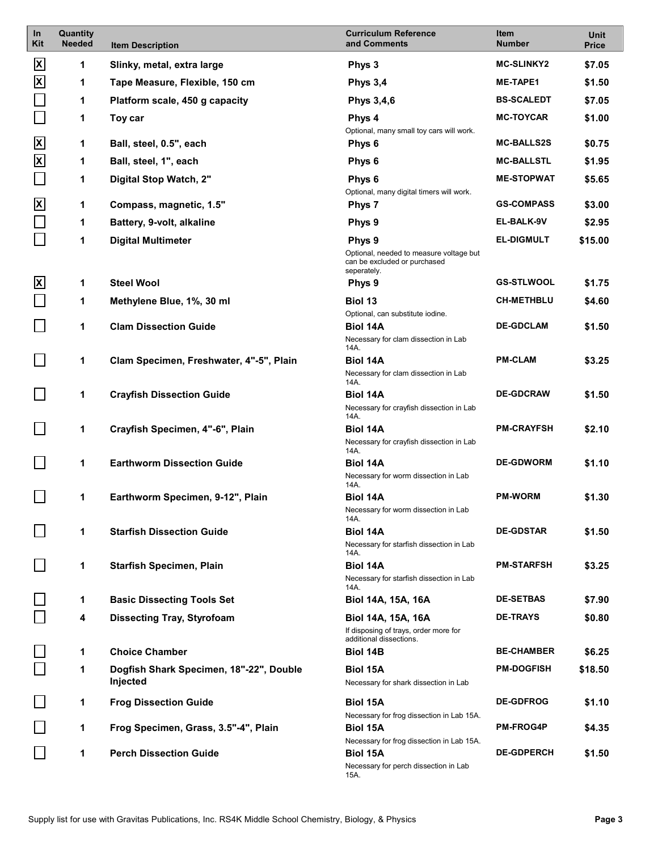| <b>In</b><br>Kit        | Quantity<br><b>Needed</b> | <b>Item Description</b>                 | <b>Curriculum Reference</b><br>and Comments                                                      | Item<br><b>Number</b> | Unit<br><b>Price</b> |
|-------------------------|---------------------------|-----------------------------------------|--------------------------------------------------------------------------------------------------|-----------------------|----------------------|
| $\mathbf{x}$            | 1                         | Slinky, metal, extra large              | Phys 3                                                                                           | <b>MC-SLINKY2</b>     | \$7.05               |
| $\mathbf{x}$            | 1                         | Tape Measure, Flexible, 150 cm          | <b>Phys 3,4</b>                                                                                  | <b>ME-TAPE1</b>       | \$1.50               |
|                         | 1                         | Platform scale, 450 g capacity          | <b>Phys 3,4,6</b>                                                                                | <b>BS-SCALEDT</b>     | \$7.05               |
|                         | 1                         | Toy car                                 | Phys 4                                                                                           | <b>MC-TOYCAR</b>      | \$1.00               |
| $\mathbf{x}$            | 1                         | Ball, steel, 0.5", each                 | Optional, many small toy cars will work.<br>Phys 6                                               | <b>MC-BALLS2S</b>     | \$0.75               |
| $\overline{\mathbf{x}}$ | 1                         | Ball, steel, 1", each                   | Phys 6                                                                                           | <b>MC-BALLSTL</b>     | \$1.95               |
|                         |                           |                                         |                                                                                                  | <b>ME-STOPWAT</b>     |                      |
|                         | 1                         | Digital Stop Watch, 2"                  | Phys 6<br>Optional, many digital timers will work.                                               |                       | \$5.65               |
| $\overline{\mathsf{x}}$ | 1                         | Compass, magnetic, 1.5"                 | Phys 7                                                                                           | <b>GS-COMPASS</b>     | \$3.00               |
|                         | 1                         | Battery, 9-volt, alkaline               | Phys 9                                                                                           | EL-BALK-9V            | \$2.95               |
|                         | 1                         | <b>Digital Multimeter</b>               | Phys 9<br>Optional, needed to measure voltage but<br>can be excluded or purchased<br>seperately. | <b>EL-DIGMULT</b>     | \$15.00              |
| $\mathbf{x}$            | 1                         | <b>Steel Wool</b>                       | Phys 9                                                                                           | <b>GS-STLWOOL</b>     | \$1.75               |
|                         | 1                         | Methylene Blue, 1%, 30 ml               | <b>Biol 13</b>                                                                                   | <b>CH-METHBLU</b>     | \$4.60               |
|                         | 1                         | <b>Clam Dissection Guide</b>            | Optional, can substitute iodine.<br><b>Biol 14A</b>                                              | <b>DE-GDCLAM</b>      | \$1.50               |
|                         |                           |                                         | Necessary for clam dissection in Lab<br>14A.                                                     |                       |                      |
|                         | 1                         | Clam Specimen, Freshwater, 4"-5", Plain | <b>Biol 14A</b>                                                                                  | <b>PM-CLAM</b>        | \$3.25               |
|                         |                           |                                         | Necessary for clam dissection in Lab<br>14A.                                                     |                       |                      |
|                         | 1                         | <b>Crayfish Dissection Guide</b>        | <b>Biol 14A</b><br>Necessary for crayfish dissection in Lab<br>14A.                              | <b>DE-GDCRAW</b>      | \$1.50               |
|                         | 1                         | Crayfish Specimen, 4"-6", Plain         | <b>Biol 14A</b><br>Necessary for crayfish dissection in Lab                                      | <b>PM-CRAYFSH</b>     | \$2.10               |
|                         |                           |                                         | 14A.                                                                                             |                       |                      |
|                         | 1                         | <b>Earthworm Dissection Guide</b>       | <b>Biol 14A</b><br>Necessary for worm dissection in Lab<br>14A.                                  | <b>DE-GDWORM</b>      | \$1.10               |
|                         | 1                         | Earthworm Specimen, 9-12", Plain        | <b>Biol 14A</b>                                                                                  | <b>PM-WORM</b>        | \$1.30               |
|                         |                           |                                         | Necessary for worm dissection in Lab<br>14A.                                                     |                       |                      |
|                         | 1                         | <b>Starfish Dissection Guide</b>        | <b>Biol 14A</b>                                                                                  | <b>DE-GDSTAR</b>      | \$1.50               |
|                         |                           |                                         | Necessary for starfish dissection in Lab<br>14A.                                                 |                       |                      |
|                         | 1                         | <b>Starfish Specimen, Plain</b>         | <b>Biol 14A</b><br>Necessary for starfish dissection in Lab<br>14A.                              | <b>PM-STARFSH</b>     | \$3.25               |
|                         | 1                         | <b>Basic Dissecting Tools Set</b>       | Biol 14A, 15A, 16A                                                                               | <b>DE-SETBAS</b>      | \$7.90               |
|                         | 4                         | <b>Dissecting Tray, Styrofoam</b>       | <b>Biol 14A, 15A, 16A</b><br>If disposing of trays, order more for                               | <b>DE-TRAYS</b>       | \$0.80               |
|                         | 1                         | <b>Choice Chamber</b>                   | additional dissections.<br><b>Biol 14B</b>                                                       | <b>BE-CHAMBER</b>     | \$6.25               |
|                         | 1                         | Dogfish Shark Specimen, 18"-22", Double | <b>Biol 15A</b>                                                                                  | <b>PM-DOGFISH</b>     | \$18.50              |
|                         |                           | Injected                                | Necessary for shark dissection in Lab                                                            |                       |                      |
|                         | 1                         | <b>Frog Dissection Guide</b>            | <b>Biol 15A</b>                                                                                  | <b>DE-GDFROG</b>      | \$1.10               |
|                         | 1                         | Frog Specimen, Grass, 3.5"-4", Plain    | Necessary for frog dissection in Lab 15A.<br><b>Biol 15A</b>                                     | <b>PM-FROG4P</b>      | \$4.35               |
|                         |                           |                                         | Necessary for frog dissection in Lab 15A.                                                        |                       |                      |
|                         | 1                         | <b>Perch Dissection Guide</b>           | <b>Biol 15A</b><br>Necessary for perch dissection in Lab<br>15A.                                 | <b>DE-GDPERCH</b>     | \$1.50               |